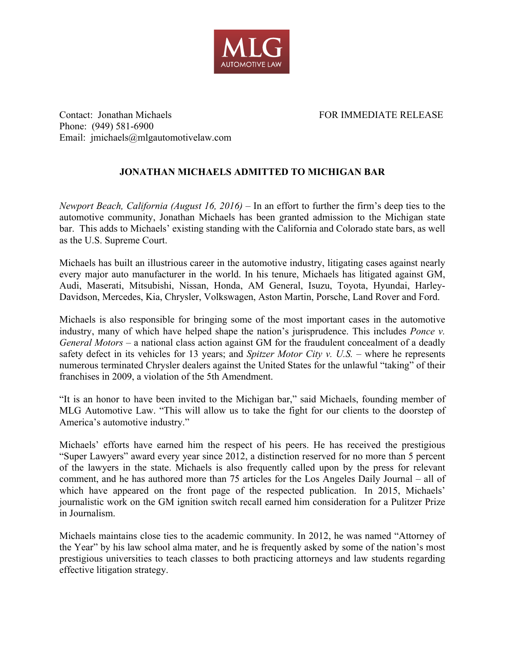

Contact: Jonathan Michaels FOR IMMEDIATE RELEASE Phone: (949) 581-6900 Email: jmichaels@mlgautomotivelaw.com

## **JONATHAN MICHAELS ADMITTED TO MICHIGAN BAR**

*Newport Beach, California (August 16, 2016)* – In an effort to further the firm's deep ties to the automotive community, Jonathan Michaels has been granted admission to the Michigan state bar. This adds to Michaels' existing standing with the California and Colorado state bars, as well as the U.S. Supreme Court.

Michaels has built an illustrious career in the automotive industry, litigating cases against nearly every major auto manufacturer in the world. In his tenure, Michaels has litigated against GM, Audi, Maserati, Mitsubishi, Nissan, Honda, AM General, Isuzu, Toyota, Hyundai, Harley-Davidson, Mercedes, Kia, Chrysler, Volkswagen, Aston Martin, Porsche, Land Rover and Ford.

Michaels is also responsible for bringing some of the most important cases in the automotive industry, many of which have helped shape the nation's jurisprudence. This includes *Ponce v. General Motors* – a national class action against GM for the fraudulent concealment of a deadly safety defect in its vehicles for 13 years; and *Spitzer Motor City v. U.S.* – where he represents numerous terminated Chrysler dealers against the United States for the unlawful "taking" of their franchises in 2009, a violation of the 5th Amendment.

"It is an honor to have been invited to the Michigan bar," said Michaels, founding member of MLG Automotive Law. "This will allow us to take the fight for our clients to the doorstep of America's automotive industry."

Michaels' efforts have earned him the respect of his peers. He has received the prestigious "Super Lawyers" award every year since 2012, a distinction reserved for no more than 5 percent of the lawyers in the state. Michaels is also frequently called upon by the press for relevant comment, and he has authored more than 75 articles for the Los Angeles Daily Journal – all of which have appeared on the front page of the respected publication. In 2015, Michaels' journalistic work on the GM ignition switch recall earned him consideration for a Pulitzer Prize in Journalism.

Michaels maintains close ties to the academic community. In 2012, he was named "Attorney of the Year" by his law school alma mater, and he is frequently asked by some of the nation's most prestigious universities to teach classes to both practicing attorneys and law students regarding effective litigation strategy.